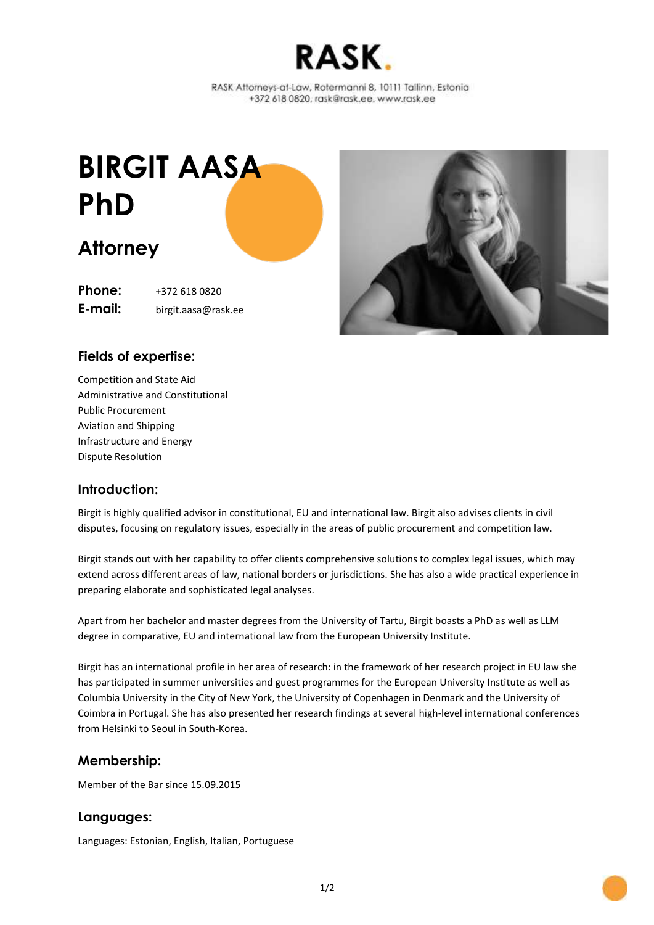

RASK Attorneys-at-Law, Rotermanni 8, 10111 Tallinn, Estonia +372 618 0820, rask@rask.ee, www.rask.ee

# **BIRGIT AASA PhD**

# **Attorney**

**Phone:** +372 618 0820 **E-mail:** [birgit.aasa@rask.ee](mailto:birgit.aasa@rask.ee)



## **Fields of expertise:**

Competition and State Aid Administrative and Constitutional Public Procurement Aviation and Shipping Infrastructure and Energy Dispute Resolution

#### **Introduction:**

Birgit is highly qualified advisor in constitutional, EU and international law. Birgit also advises clients in civil disputes, focusing on regulatory issues, especially in the areas of public procurement and competition law.

Birgit stands out with her capability to offer clients comprehensive solutions to complex legal issues, which may extend across different areas of law, national borders or jurisdictions. She has also a wide practical experience in preparing elaborate and sophisticated legal analyses.

Apart from her bachelor and master degrees from the University of Tartu, Birgit boasts a PhD as well as LLM degree in comparative, EU and international law from the European University Institute.

Birgit has an international profile in her area of research: in the framework of her research project in EU law she has participated in summer universities and guest programmes for the European University Institute as well as Columbia University in the City of New York, the University of Copenhagen in Denmark and the University of Coimbra in Portugal. She has also presented her research findings at several high-level international conferences from Helsinki to Seoul in South-Korea.

#### **Membership:**

Member of the Bar since 15.09.2015

#### **Languages:**

Languages: Estonian, English, Italian, Portuguese